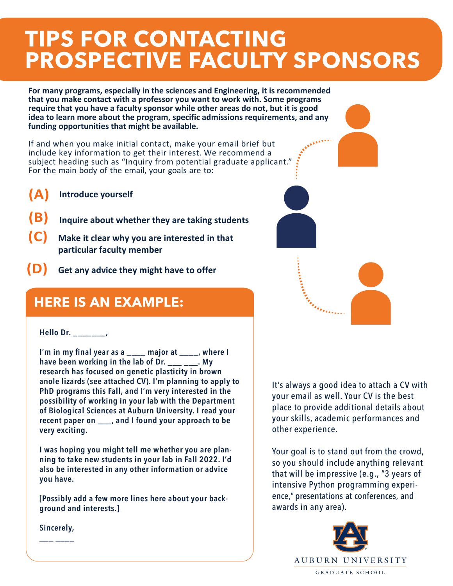# **TIPS FOR CONTACTING PROSPECTIVE FACULTY SPONSORS**

**For many programs, especially in the sciences and Engineering, it is recommended that you make contact with a professor you want to work with. Some programs require that you have a faculty sponsor while other areas do not, but it is good idea to learn more about the program, specific admissions requirements, and any funding opportunities that might be available.** 

If and when you make initial contact, make your email brief but include key information to get their interest. We recommend a subject heading such as "Inquiry from potential graduate applicant." For the main body of the email, your goals are to:

- **(A) Introduce yourself**
- **(B) Inquire about whether they are taking students**
- **(C) Make it clear why you are interested in that particular faculty member**
- **(D) Get any advice they might have to offer**

### **HERE IS AN EXAMPLE:**

#### **Hello Dr. \_\_\_\_\_\_\_,**

**I'm in my final year as a \_\_\_\_ major at \_\_\_\_, where I have been working in the lab of Dr. \_\_\_ \_\_\_. My research has focused on genetic plasticity in brown anole lizards (see attached CV). I'm planning to apply to PhD programs this Fall, and I'm very interested in the possibility of working in your lab with the Department of Biological Sciences at Auburn University. I read your recent paper on \_\_\_, and I found your approach to be very exciting.**

**I was hoping you might tell me whether you are planning to take new students in your lab in Fall 2022. I'd also be interested in any other information or advice you have.**

**[Possibly add a few more lines here about your background and interests.]**

**Sincerely, \_\_\_ \_\_\_\_**

It's always a good idea to attach a CV with your email as well. Your CV is the best place to provide additional details about your skills, academic performances and other experience.

Your goal is to stand out from the crowd, so you should include anything relevant that will be impressive (e.g., "3 years of intensive Python programming experience," presentations at conferences, and awards in any area).